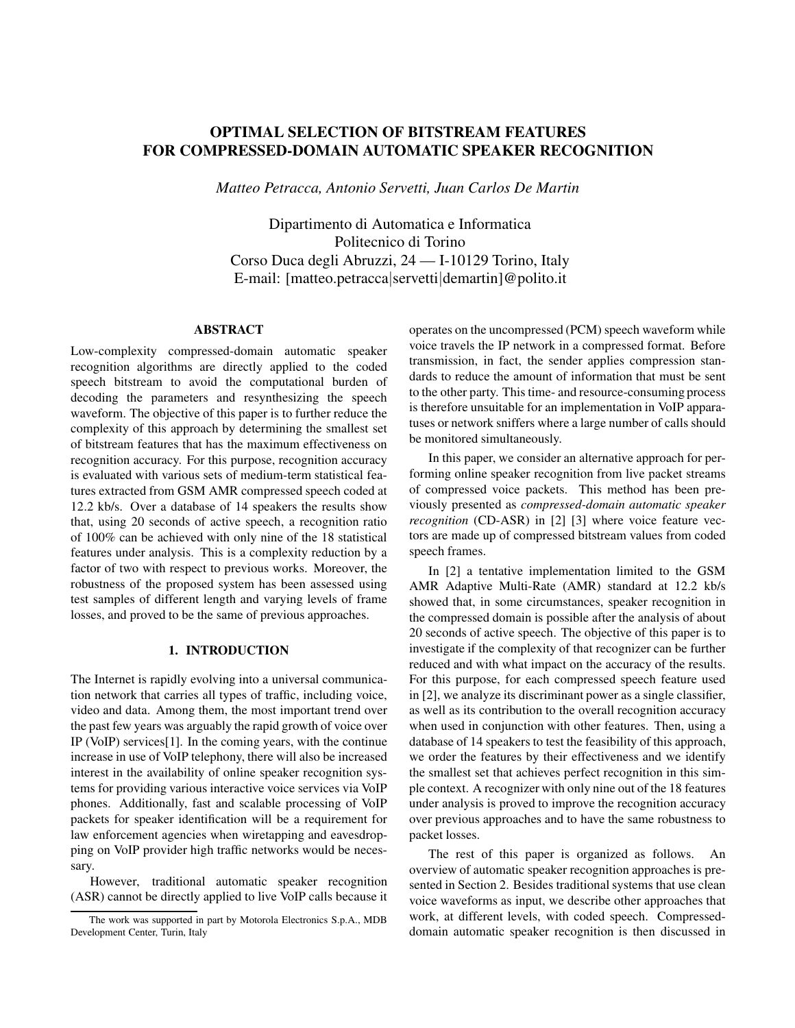# OPTIMAL SELECTION OF BITSTREAM FEATURES FOR COMPRESSED-DOMAIN AUTOMATIC SPEAKER RECOGNITION

*Matteo Petracca, Antonio Servetti, Juan Carlos De Martin*

Dipartimento di Automatica e Informatica Politecnico di Torino Corso Duca degli Abruzzi, 24 — I-10129 Torino, Italy E-mail: [matteo.petracca|servetti|demartin]@polito.it

### ABSTRACT

Low-complexity compressed-domain automatic speaker recognition algorithms are directly applied to the coded speech bitstream to avoid the computational burden of decoding the parameters and resynthesizing the speech waveform. The objective of this paper is to further reduce the complexity of this approach by determining the smallest set of bitstream features that has the maximum effectiveness on recognition accuracy. For this purpose, recognition accuracy is evaluated with various sets of medium-term statistical features extracted from GSM AMR compressed speech coded at 12.2 kb/s. Over a database of 14 speakers the results show that, using 20 seconds of active speech, a recognition ratio of 100% can be achieved with only nine of the 18 statistical features under analysis. This is a complexity reduction by a factor of two with respect to previous works. Moreover, the robustness of the proposed system has been assessed using test samples of different length and varying levels of frame losses, and proved to be the same of previous approaches.

# 1. INTRODUCTION

The Internet is rapidly evolving into a universal communication network that carries all types of traffic, including voice, video and data. Among them, the most important trend over the past few years was arguably the rapid growth of voice over IP (VoIP) services[1]. In the coming years, with the continue increase in use of VoIP telephony, there will also be increased interest in the availability of online speaker recognition systems for providing various interactive voice services via VoIP phones. Additionally, fast and scalable processing of VoIP packets for speaker identification will be a requirement for law enforcement agencies when wiretapping and eavesdropping on VoIP provider high traffic networks would be necessary.

However, traditional automatic speaker recognition (ASR) cannot be directly applied to live VoIP calls because it operates on the uncompressed (PCM) speech waveform while voice travels the IP network in a compressed format. Before transmission, in fact, the sender applies compression standards to reduce the amount of information that must be sent to the other party. This time- and resource-consuming process is therefore unsuitable for an implementation in VoIP apparatuses or network sniffers where a large number of calls should be monitored simultaneously.

In this paper, we consider an alternative approach for performing online speaker recognition from live packet streams of compressed voice packets. This method has been previously presented as *compressed-domain automatic speaker recognition* (CD-ASR) in [2] [3] where voice feature vectors are made up of compressed bitstream values from coded speech frames.

In [2] a tentative implementation limited to the GSM AMR Adaptive Multi-Rate (AMR) standard at 12.2 kb/s showed that, in some circumstances, speaker recognition in the compressed domain is possible after the analysis of about 20 seconds of active speech. The objective of this paper is to investigate if the complexity of that recognizer can be further reduced and with what impact on the accuracy of the results. For this purpose, for each compressed speech feature used in [2], we analyze its discriminant power as a single classifier, as well as its contribution to the overall recognition accuracy when used in conjunction with other features. Then, using a database of 14 speakers to test the feasibility of this approach, we order the features by their effectiveness and we identify the smallest set that achieves perfect recognition in this simple context. A recognizer with only nine out of the 18 features under analysis is proved to improve the recognition accuracy over previous approaches and to have the same robustness to packet losses.

The rest of this paper is organized as follows. An overview of automatic speaker recognition approaches is presented in Section 2. Besides traditional systems that use clean voice waveforms as input, we describe other approaches that work, at different levels, with coded speech. Compresseddomain automatic speaker recognition is then discussed in

The work was supported in part by Motorola Electronics S.p.A., MDB Development Center, Turin, Italy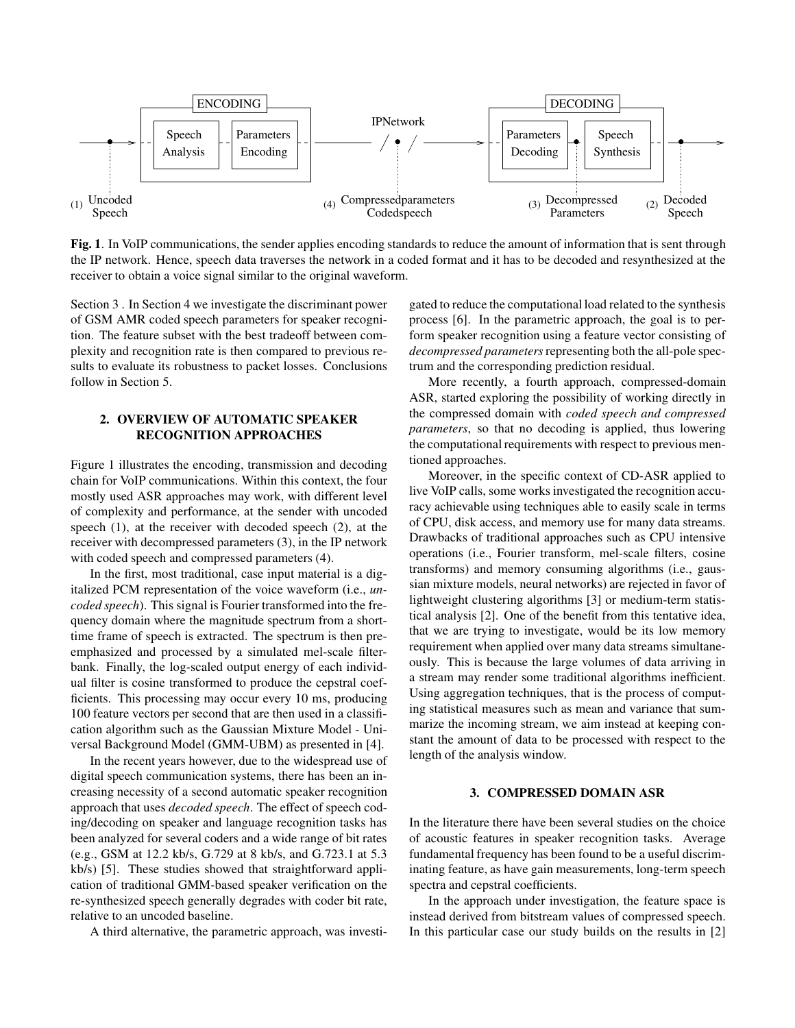

Fig. 1. In VoIP communications, the sender applies encoding standards to reduce the amount of information that is sent through the IP network. Hence, speech data traverses the network in a coded format and it has to be decoded and resynthesized at the receiver to obtain a voice signal similar to the original waveform.

Section 3 . In Section 4 we investigate the discriminant power of GSM AMR coded speech parameters for speaker recognition. The feature subset with the best tradeoff between complexity and recognition rate is then compared to previous results to evaluate its robustness to packet losses. Conclusions follow in Section 5.

# 2. OVERVIEW OF AUTOMATIC SPEAKER RECOGNITION APPROACHES

Figure 1 illustrates the encoding, transmission and decoding chain for VoIP communications. Within this context, the four mostly used ASR approaches may work, with different level of complexity and performance, at the sender with uncoded speech (1), at the receiver with decoded speech (2), at the receiver with decompressed parameters (3), in the IP network with coded speech and compressed parameters (4).

In the first, most traditional, case input material is a digitalized PCM representation of the voice waveform (i.e., *uncoded speech*). This signal is Fourier transformed into the frequency domain where the magnitude spectrum from a shorttime frame of speech is extracted. The spectrum is then preemphasized and processed by a simulated mel-scale filterbank. Finally, the log-scaled output energy of each individual filter is cosine transformed to produce the cepstral coefficients. This processing may occur every 10 ms, producing 100 feature vectors per second that are then used in a classification algorithm such as the Gaussian Mixture Model - Universal Background Model (GMM-UBM) as presented in [4].

In the recent years however, due to the widespread use of digital speech communication systems, there has been an increasing necessity of a second automatic speaker recognition approach that uses *decoded speech*. The effect of speech coding/decoding on speaker and language recognition tasks has been analyzed for several coders and a wide range of bit rates (e.g., GSM at 12.2 kb/s, G.729 at 8 kb/s, and G.723.1 at 5.3 kb/s) [5]. These studies showed that straightforward application of traditional GMM-based speaker verification on the re-synthesized speech generally degrades with coder bit rate, relative to an uncoded baseline.

A third alternative, the parametric approach, was investi-

gated to reduce the computational load related to the synthesis process [6]. In the parametric approach, the goal is to perform speaker recognition using a feature vector consisting of *decompressed parameters* representing both the all-pole spectrum and the corresponding prediction residual.

More recently, a fourth approach, compressed-domain ASR, started exploring the possibility of working directly in the compressed domain with *coded speech and compressed parameters*, so that no decoding is applied, thus lowering the computational requirements with respect to previous mentioned approaches.

Moreover, in the specific context of CD-ASR applied to live VoIP calls, some works investigated the recognition accuracy achievable using techniques able to easily scale in terms of CPU, disk access, and memory use for many data streams. Drawbacks of traditional approaches such as CPU intensive operations (i.e., Fourier transform, mel-scale filters, cosine transforms) and memory consuming algorithms (i.e., gaussian mixture models, neural networks) are rejected in favor of lightweight clustering algorithms [3] or medium-term statistical analysis [2]. One of the benefit from this tentative idea, that we are trying to investigate, would be its low memory requirement when applied over many data streams simultaneously. This is because the large volumes of data arriving in a stream may render some traditional algorithms inefficient. Using aggregation techniques, that is the process of computing statistical measures such as mean and variance that summarize the incoming stream, we aim instead at keeping constant the amount of data to be processed with respect to the length of the analysis window.

# 3. COMPRESSED DOMAIN ASR

In the literature there have been several studies on the choice of acoustic features in speaker recognition tasks. Average fundamental frequency has been found to be a useful discriminating feature, as have gain measurements, long-term speech spectra and cepstral coefficients.

In the approach under investigation, the feature space is instead derived from bitstream values of compressed speech. In this particular case our study builds on the results in [2]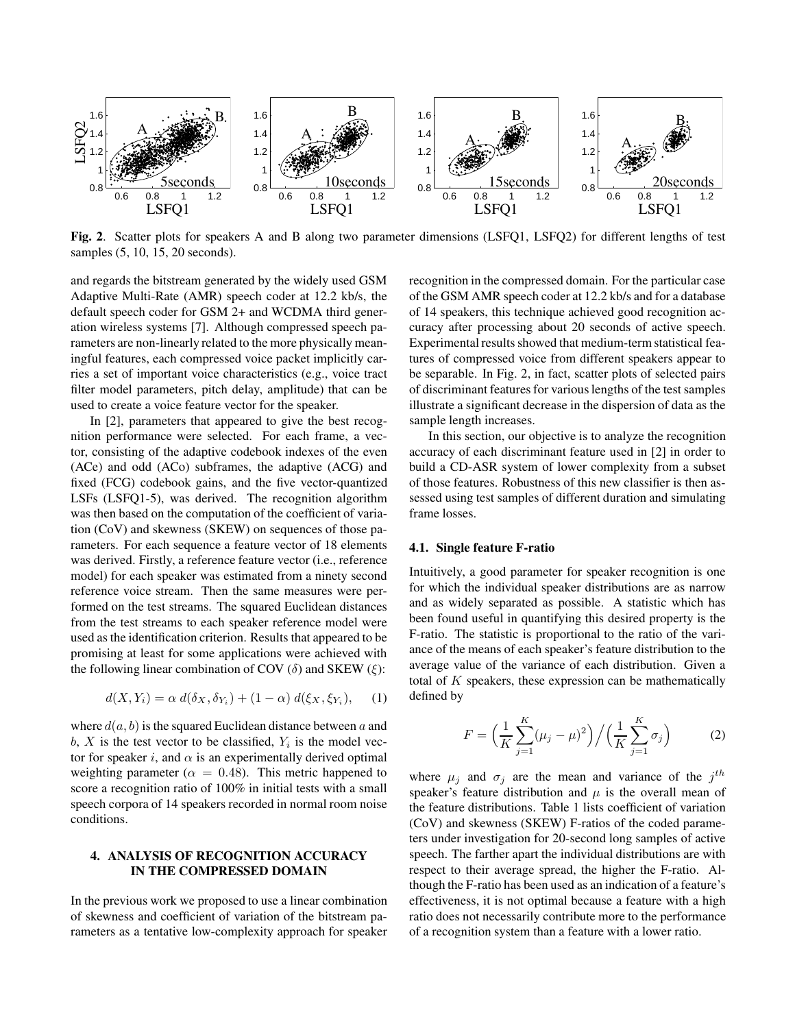

Fig. 2. Scatter plots for speakers A and B along two parameter dimensions (LSFQ1, LSFQ2) for different lengths of test samples (5, 10, 15, 20 seconds).

and regards the bitstream generated by the widely used GSM Adaptive Multi-Rate (AMR) speech coder at 12.2 kb/s, the default speech coder for GSM 2+ and WCDMA third generation wireless systems [7]. Although compressed speech parameters are non-linearly related to the more physically meaningful features, each compressed voice packet implicitly carries a set of important voice characteristics (e.g., voice tract filter model parameters, pitch delay, amplitude) that can be used to create a voice feature vector for the speaker.

In [2], parameters that appeared to give the best recognition performance were selected. For each frame, a vector, consisting of the adaptive codebook indexes of the even (ACe) and odd (ACo) subframes, the adaptive (ACG) and fixed (FCG) codebook gains, and the five vector-quantized LSFs (LSFQ1-5), was derived. The recognition algorithm was then based on the computation of the coefficient of variation (CoV) and skewness (SKEW) on sequences of those parameters. For each sequence a feature vector of 18 elements was derived. Firstly, a reference feature vector (i.e., reference model) for each speaker was estimated from a ninety second reference voice stream. Then the same measures were performed on the test streams. The squared Euclidean distances from the test streams to each speaker reference model were used as the identification criterion. Results that appeared to be promising at least for some applications were achieved with the following linear combination of COV ( $\delta$ ) and SKEW ( $\xi$ ):

$$
d(X, Y_i) = \alpha \, d(\delta_X, \delta_{Y_i}) + (1 - \alpha) \, d(\xi_X, \xi_{Y_i}), \quad (1)
$$

where  $d(a, b)$  is the squared Euclidean distance between a and b, X is the test vector to be classified,  $Y_i$  is the model vector for speaker i, and  $\alpha$  is an experimentally derived optimal weighting parameter ( $\alpha = 0.48$ ). This metric happened to score a recognition ratio of 100% in initial tests with a small speech corpora of 14 speakers recorded in normal room noise conditions.

# 4. ANALYSIS OF RECOGNITION ACCURACY IN THE COMPRESSED DOMAIN

In the previous work we proposed to use a linear combination of skewness and coefficient of variation of the bitstream parameters as a tentative low-complexity approach for speaker

recognition in the compressed domain. For the particular case of the GSM AMR speech coder at 12.2 kb/s and for a database of 14 speakers, this technique achieved good recognition accuracy after processing about 20 seconds of active speech. Experimental results showed that medium-term statistical features of compressed voice from different speakers appear to be separable. In Fig. 2, in fact, scatter plots of selected pairs of discriminant features for various lengths of the test samples illustrate a significant decrease in the dispersion of data as the sample length increases.

In this section, our objective is to analyze the recognition accuracy of each discriminant feature used in [2] in order to build a CD-ASR system of lower complexity from a subset of those features. Robustness of this new classifier is then assessed using test samples of different duration and simulating frame losses.

### 4.1. Single feature F-ratio

Intuitively, a good parameter for speaker recognition is one for which the individual speaker distributions are as narrow and as widely separated as possible. A statistic which has been found useful in quantifying this desired property is the F-ratio. The statistic is proportional to the ratio of the variance of the means of each speaker's feature distribution to the average value of the variance of each distribution. Given a total of K speakers, these expression can be mathematically defined by

$$
F = \left(\frac{1}{K} \sum_{j=1}^{K} (\mu_j - \mu)^2\right) / \left(\frac{1}{K} \sum_{j=1}^{K} \sigma_j\right)
$$
 (2)

where  $\mu_j$  and  $\sigma_j$  are the mean and variance of the  $j^{th}$ speaker's feature distribution and  $\mu$  is the overall mean of the feature distributions. Table 1 lists coefficient of variation (CoV) and skewness (SKEW) F-ratios of the coded parameters under investigation for 20-second long samples of active speech. The farther apart the individual distributions are with respect to their average spread, the higher the F-ratio. Although the F-ratio has been used as an indication of a feature's effectiveness, it is not optimal because a feature with a high ratio does not necessarily contribute more to the performance of a recognition system than a feature with a lower ratio.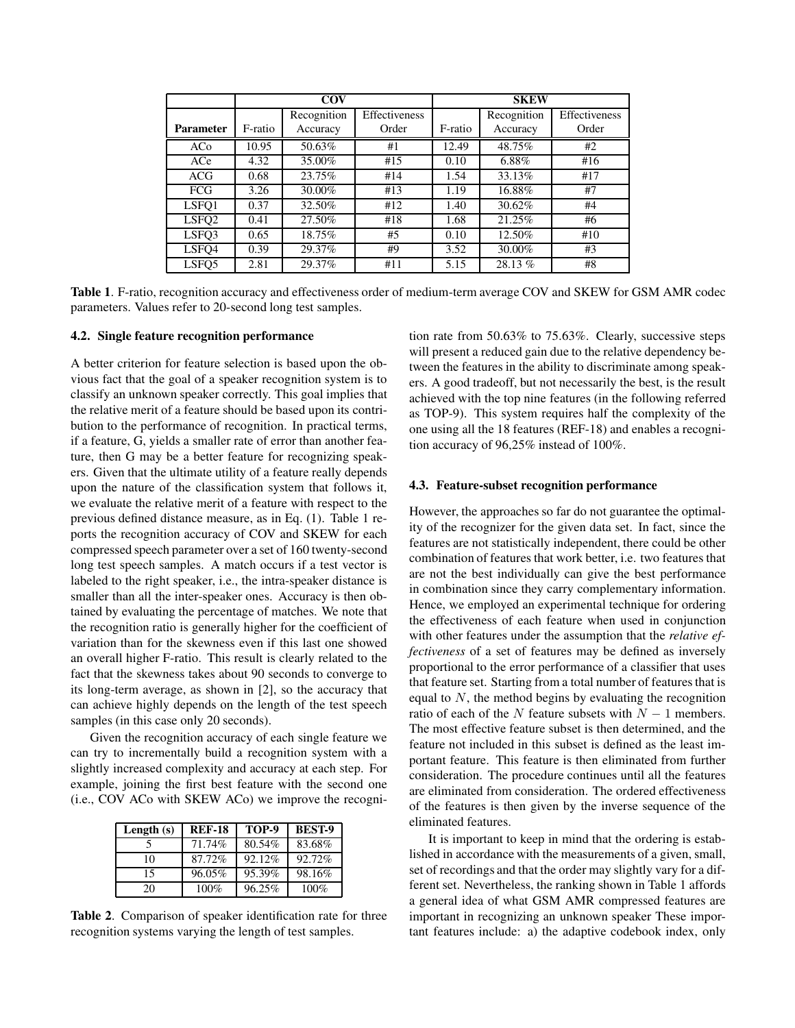|                   | <b>COV</b> |             |                      | <b>SKEW</b> |             |                      |
|-------------------|------------|-------------|----------------------|-------------|-------------|----------------------|
|                   |            | Recognition | <b>Effectiveness</b> |             | Recognition | <b>Effectiveness</b> |
| <b>Parameter</b>  | F-ratio    | Accuracy    | Order                | F-ratio     | Accuracy    | Order                |
| ACo               | 10.95      | 50.63%      | #1                   | 12.49       | 48.75%      | #2                   |
| ACe               | 4.32       | 35.00%      | #15                  | 0.10        | 6.88%       | #16                  |
| <b>ACG</b>        | 0.68       | 23.75%      | #14                  | 1.54        | 33.13%      | #17                  |
| <b>FCG</b>        | 3.26       | 30.00%      | #13                  | 1.19        | 16.88%      | #7                   |
| LSFO1             | 0.37       | 32.50%      | #12                  | 1.40        | 30.62%      | #4                   |
| LSFO <sub>2</sub> | 0.41       | 27.50%      | #18                  | 1.68        | 21.25%      | #6                   |
| LSFO3             | 0.65       | 18.75%      | #5                   | 0.10        | 12.50%      | #10                  |
| LSFO <sub>4</sub> | 0.39       | 29.37%      | #9                   | 3.52        | 30.00%      | #3                   |
| LSF <sub>O5</sub> | 2.81       | 29.37%      | #11                  | 5.15        | 28.13 %     | #8                   |

Table 1. F-ratio, recognition accuracy and effectiveness order of medium-term average COV and SKEW for GSM AMR codec parameters. Values refer to 20-second long test samples.

#### 4.2. Single feature recognition performance

A better criterion for feature selection is based upon the obvious fact that the goal of a speaker recognition system is to classify an unknown speaker correctly. This goal implies that the relative merit of a feature should be based upon its contribution to the performance of recognition. In practical terms, if a feature, G, yields a smaller rate of error than another feature, then G may be a better feature for recognizing speakers. Given that the ultimate utility of a feature really depends upon the nature of the classification system that follows it, we evaluate the relative merit of a feature with respect to the previous defined distance measure, as in Eq. (1). Table 1 reports the recognition accuracy of COV and SKEW for each compressed speech parameter over a set of 160 twenty-second long test speech samples. A match occurs if a test vector is labeled to the right speaker, i.e., the intra-speaker distance is smaller than all the inter-speaker ones. Accuracy is then obtained by evaluating the percentage of matches. We note that the recognition ratio is generally higher for the coefficient of variation than for the skewness even if this last one showed an overall higher F-ratio. This result is clearly related to the fact that the skewness takes about 90 seconds to converge to its long-term average, as shown in [2], so the accuracy that can achieve highly depends on the length of the test speech samples (in this case only 20 seconds).

Given the recognition accuracy of each single feature we can try to incrementally build a recognition system with a slightly increased complexity and accuracy at each step. For example, joining the first best feature with the second one (i.e., COV ACo with SKEW ACo) we improve the recogni-

| Length $(s)$ | <b>REF-18</b> | TOP-9  | <b>BEST-9</b> |
|--------------|---------------|--------|---------------|
|              | 71.74%        | 80.54% | 83.68%        |
| 10           | 87.72%        | 92.12% | 92.72%        |
| 15           | 96.05%        | 95.39% | 98.16%        |
| 20           | $100\%$       | 96.25% | $100\%$       |

Table 2. Comparison of speaker identification rate for three recognition systems varying the length of test samples.

tion rate from 50.63% to 75.63%. Clearly, successive steps will present a reduced gain due to the relative dependency between the features in the ability to discriminate among speakers. A good tradeoff, but not necessarily the best, is the result achieved with the top nine features (in the following referred as TOP-9). This system requires half the complexity of the one using all the 18 features (REF-18) and enables a recognition accuracy of 96,25% instead of 100%.

### 4.3. Feature-subset recognition performance

However, the approaches so far do not guarantee the optimality of the recognizer for the given data set. In fact, since the features are not statistically independent, there could be other combination of features that work better, i.e. two features that are not the best individually can give the best performance in combination since they carry complementary information. Hence, we employed an experimental technique for ordering the effectiveness of each feature when used in conjunction with other features under the assumption that the *relative effectiveness* of a set of features may be defined as inversely proportional to the error performance of a classifier that uses that feature set. Starting from a total number of features that is equal to  $N$ , the method begins by evaluating the recognition ratio of each of the N feature subsets with  $N - 1$  members. The most effective feature subset is then determined, and the feature not included in this subset is defined as the least important feature. This feature is then eliminated from further consideration. The procedure continues until all the features are eliminated from consideration. The ordered effectiveness of the features is then given by the inverse sequence of the eliminated features.

It is important to keep in mind that the ordering is established in accordance with the measurements of a given, small, set of recordings and that the order may slightly vary for a different set. Nevertheless, the ranking shown in Table 1 affords a general idea of what GSM AMR compressed features are important in recognizing an unknown speaker These important features include: a) the adaptive codebook index, only